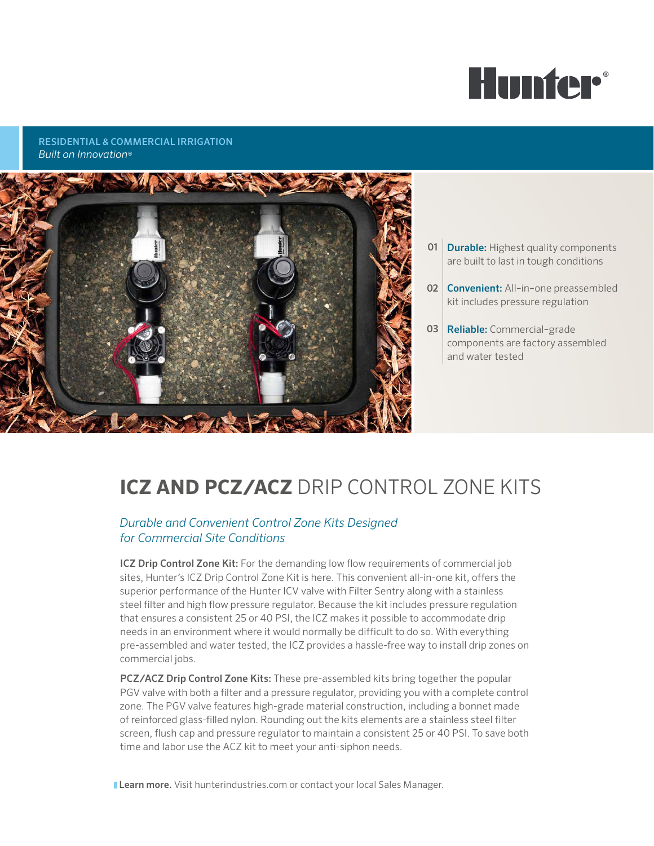

RESIDENTIAL & COMMERCIAL IRRIGATION *Built on Innovation*®



- **01** Durable: Highest quality components are built to last in tough conditions
- 02 **Convenient:** All-in-one preassembled kit includes pressure regulation
- 03 Reliable: Commercial-grade components are factory assembled and water tested

# **ICZ AND PCZ/ACZ** DRIP CONTROL ZONE KITS

### *Durable and Convenient Control Zone Kits Designed for Commercial Site Conditions*

ICZ Drip Control Zone Kit: For the demanding low flow requirements of commercial job sites, Hunter's ICZ Drip Control Zone Kit is here. This convenient all-in-one kit, offers the superior performance of the Hunter ICV valve with Filter Sentry along with a stainless steel filter and high flow pressure regulator. Because the kit includes pressure regulation that ensures a consistent 25 or 40 PSI, the ICZ makes it possible to accommodate drip needs in an environment where it would normally be difficult to do so. With everything pre-assembled and water tested, the ICZ provides a hassle-free way to install drip zones on commercial jobs.

PCZ/ACZ Drip Control Zone Kits: These pre-assembled kits bring together the popular PGV valve with both a filter and a pressure regulator, providing you with a complete control zone. The PGV valve features high-grade material construction, including a bonnet made of reinforced glass-filled nylon. Rounding out the kits elements are a stainless steel filter screen, flush cap and pressure regulator to maintain a consistent 25 or 40 PSI. To save both time and labor use the ACZ kit to meet your anti-siphon needs.

**Learn more.** Visit hunterindustries.com or contact your local Sales Manager.